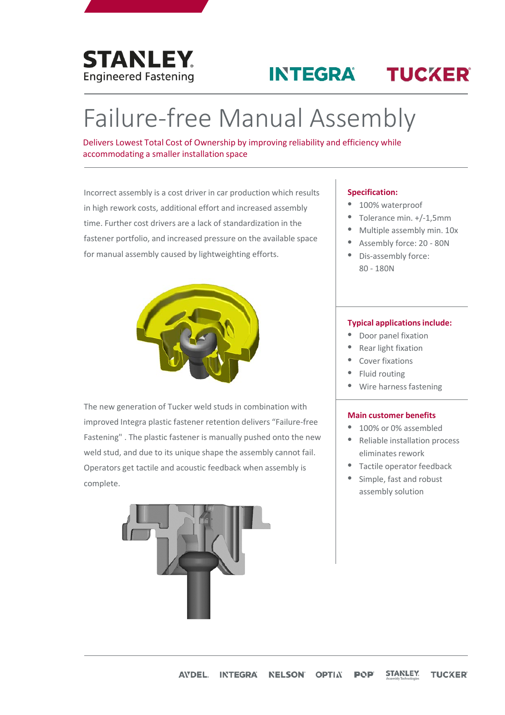

# **INTEGRA TUCKER**

# Failure-free Manual Assembly

Delivers Lowest Total Cost of Ownership by improving reliability and efficiency while accommodating a smaller installation space

Incorrect assembly is a cost driver in car production which results in high rework costs, additional effort and increased assembly time. Further cost drivers are a lack of standardization in the fastener portfolio, and increased pressure on the available space for manual assembly caused by lightweighting efforts.



The new generation of Tucker weld studs in combination with improved Integra plastic fastener retention delivers "Failure-free Fastening" . The plastic fastener is manually pushed onto the new weld stud, and due to its unique shape the assembly cannot fail. Operators get tactile and acoustic feedback when assembly is complete.



### **Specification:**

- 100% waterproof
- Tolerance min. +/-1,5mm
- Multiple assembly min. 10x
- Assembly force: 20 80N
- Dis-assembly force: 80 - 180N

#### **Typical applications include:**

- Door panel fixation
- Rear light fixation
- Cover fixations
- Fluid routing
- Wire harness fastening

### **Main customer benefits**

- 100% or 0% assembled
- Reliable installation process eliminates rework
- Tactile operator feedback
- Simple, fast and robust assembly solution